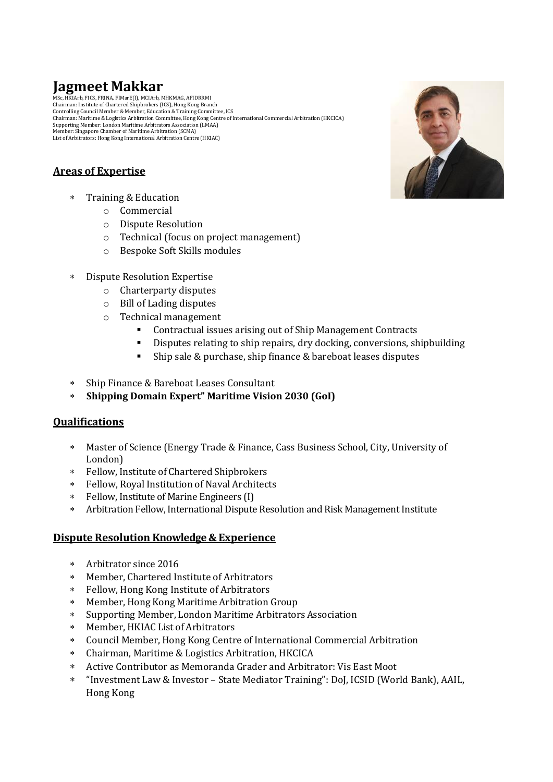## **Jagmeet Makkar**

MSc, HKIArb, FICS, FRINA, FIMarE(I), MCIArb, MHKMAG, AFIDRRMI Chairman: Institute of Chartered Shipbrokers (ICS), Hong Kong Branch Controlling Council Member & Member, Education & Training Committee, ICS Chairman: Maritime & Logistics Arbitration Committee, Hong Kong Centre of International Commercial Arbitration (HKCICA) Supporting Member: London Maritime Arbitrators Association (LMAA) Member: Singapore Chamber of Maritime Arbitration (SCMA) List of Arbitrators: Hong Kong International Arbitration Centre (HKIAC)

## **Areas of Expertise**

- Training & Education
	- o Commercial
	- o Dispute Resolution
	- o Technical (focus on project management)
	- o Bespoke Soft Skills modules
- Dispute Resolution Expertise
	- o Charterparty disputes
	- o Bill of Lading disputes
	- o Technical management
		- Contractual issues arising out of Ship Management Contracts
		- Disputes relating to ship repairs, dry docking, conversions, shipbuilding
		- Ship sale & purchase, ship finance & bareboat leases disputes
- Ship Finance & Bareboat Leases Consultant
- **Shipping Domain Expert" Maritime Vision 2030 (GoI)**

## **Qualifications**

- Master of Science (Energy Trade & Finance, Cass Business School, City, University of London)
- Fellow, Institute of Chartered Shipbrokers
- Fellow, Royal Institution of Naval Architects
- Fellow, Institute of Marine Engineers (I)
- Arbitration Fellow, International Dispute Resolution and Risk Management Institute

### **Dispute Resolution Knowledge & Experience**

- Arbitrator since 2016
- Member, Chartered Institute of Arbitrators
- Fellow, Hong Kong Institute of Arbitrators
- Member, Hong Kong Maritime Arbitration Group
- Supporting Member, London Maritime Arbitrators Association
- Member, HKIAC List of Arbitrators
- Council Member, Hong Kong Centre of International Commercial Arbitration
- Chairman, Maritime & Logistics Arbitration, HKCICA
- Active Contributor as Memoranda Grader and Arbitrator: Vis East Moot
- "Investment Law & Investor State Mediator Training": DoJ, ICSID (World Bank), AAIL, Hong Kong

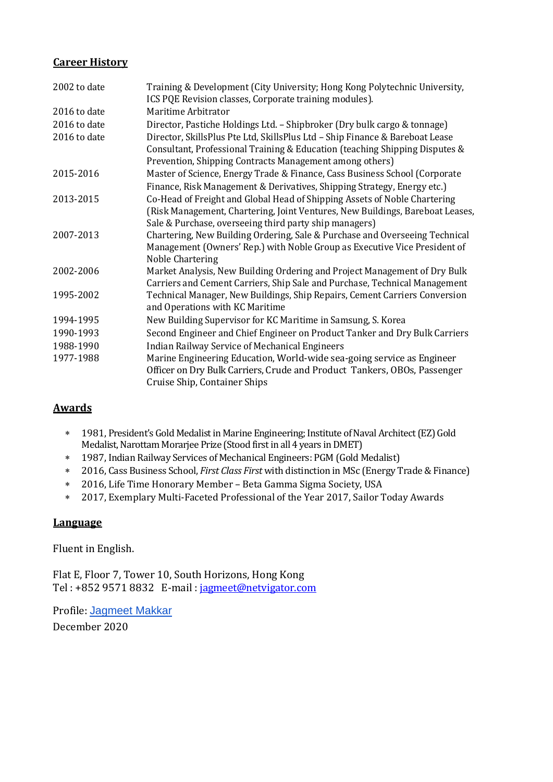## **Career History**

| 2002 to date | Training & Development (City University; Hong Kong Polytechnic University,<br>ICS PQE Revision classes, Corporate training modules).                    |
|--------------|---------------------------------------------------------------------------------------------------------------------------------------------------------|
| 2016 to date | Maritime Arbitrator                                                                                                                                     |
| 2016 to date | Director, Pastiche Holdings Ltd. - Shipbroker (Dry bulk cargo & tonnage)                                                                                |
| 2016 to date | Director, SkillsPlus Pte Ltd, SkillsPlus Ltd - Ship Finance & Bareboat Lease                                                                            |
|              | Consultant, Professional Training & Education (teaching Shipping Disputes &<br>Prevention, Shipping Contracts Management among others)                  |
| 2015-2016    | Master of Science, Energy Trade & Finance, Cass Business School (Corporate                                                                              |
|              | Finance, Risk Management & Derivatives, Shipping Strategy, Energy etc.)                                                                                 |
| 2013-2015    | Co-Head of Freight and Global Head of Shipping Assets of Noble Chartering                                                                               |
|              | (Risk Management, Chartering, Joint Ventures, New Buildings, Bareboat Leases,                                                                           |
|              | Sale & Purchase, overseeing third party ship managers)                                                                                                  |
| 2007-2013    | Chartering, New Building Ordering, Sale & Purchase and Overseeing Technical                                                                             |
|              | Management (Owners' Rep.) with Noble Group as Executive Vice President of                                                                               |
|              | Noble Chartering                                                                                                                                        |
| 2002-2006    | Market Analysis, New Building Ordering and Project Management of Dry Bulk<br>Carriers and Cement Carriers, Ship Sale and Purchase, Technical Management |
| 1995-2002    | Technical Manager, New Buildings, Ship Repairs, Cement Carriers Conversion                                                                              |
|              | and Operations with KC Maritime                                                                                                                         |
| 1994-1995    | New Building Supervisor for KC Maritime in Samsung, S. Korea                                                                                            |
| 1990-1993    | Second Engineer and Chief Engineer on Product Tanker and Dry Bulk Carriers                                                                              |
| 1988-1990    | <b>Indian Railway Service of Mechanical Engineers</b>                                                                                                   |
| 1977-1988    | Marine Engineering Education, World-wide sea-going service as Engineer                                                                                  |
|              | Officer on Dry Bulk Carriers, Crude and Product Tankers, OBOs, Passenger                                                                                |
|              | Cruise Ship, Container Ships                                                                                                                            |

## **Awards**

- 1981, President's Gold Medalistin Marine Engineering; Institute of Naval Architect (EZ) Gold Medalist, Narottam Morarjee Prize (Stood first in all 4 years in DMET)
- 1987, Indian Railway Services of Mechanical Engineers: PGM (Gold Medalist)
- 2016, Cass Business School, *First Class First* with distinction in MSc (Energy Trade & Finance)
- 2016, Life Time Honorary Member Beta Gamma Sigma Society, USA
- 2017, Exemplary Multi-Faceted Professional of the Year 2017, Sailor Today Awards

## **Language**

Fluent in English.

Flat E, Floor 7, Tower 10, South Horizons, Hong Kong Tel : +852 9571 8832 E-mail : [jagmeet@netvigator.com](mailto:jagmeet@netvigator.com)

Profile: [Jagmeet Makkar](https://nam04.safelinks.protection.outlook.com/?url=https%3A%2F%2Fwww.linkedin.com%2Fin%2Fjagmeet-singh-makkar-13385a30%2F&data=02%7C01%7C%7C3017053de02648e5459e08d7fabc5b3f%7C84df9e7fe9f640afb435aaaaaaaaaaaa%7C1%7C0%7C637253559201614621&sdata=sijy%2FDXQ12SI2uPyGpGQhpuaBY2KT0J485tLpJ6%2Br1g%3D&reserved=0)

December 2020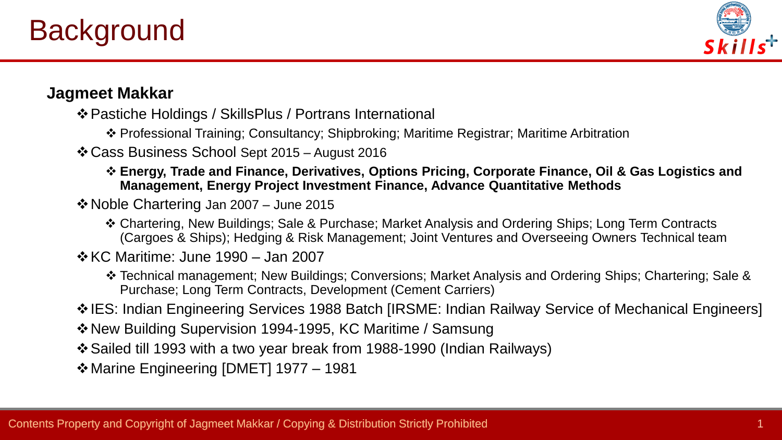

# **Jagmeet Makkar**

- ❖Pastiche Holdings / SkillsPlus / Portrans International
	- ❖ Professional Training; Consultancy; Shipbroking; Maritime Registrar; Maritime Arbitration
- ❖Cass Business School Sept 2015 August 2016
	- ❖ **Energy, Trade and Finance, Derivatives, Options Pricing, Corporate Finance, Oil & Gas Logistics and Management, Energy Project Investment Finance, Advance Quantitative Methods**
- ❖Noble Chartering Jan 2007 June 2015
	- ❖ Chartering, New Buildings; Sale & Purchase; Market Analysis and Ordering Ships; Long Term Contracts (Cargoes & Ships); Hedging & Risk Management; Joint Ventures and Overseeing Owners Technical team
- ❖KC Maritime: June 1990 Jan 2007
	- ❖ Technical management; New Buildings; Conversions; Market Analysis and Ordering Ships; Chartering; Sale & Purchase; Long Term Contracts, Development (Cement Carriers)
- ❖IES: Indian Engineering Services 1988 Batch [IRSME: Indian Railway Service of Mechanical Engineers]
- ❖New Building Supervision 1994-1995, KC Maritime / Samsung
- ❖Sailed till 1993 with a two year break from 1988-1990 (Indian Railways)
- ❖Marine Engineering [DMET] 1977 1981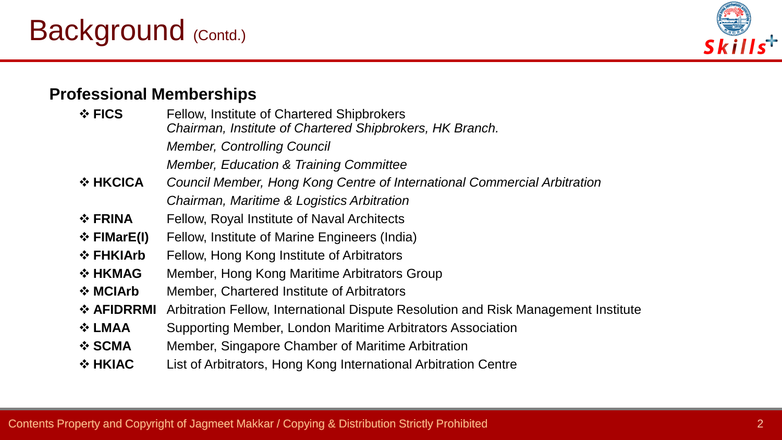# Background (Contd.)



## **Professional Memberships**

| $\div$ FICS              | <b>Fellow, Institute of Chartered Shipbrokers</b><br>Chairman, Institute of Chartered Shipbrokers, HK Branch. |
|--------------------------|---------------------------------------------------------------------------------------------------------------|
|                          | <b>Member, Controlling Council</b>                                                                            |
|                          | <b>Member, Education &amp; Training Committee</b>                                                             |
| $\Leftrightarrow$ HKCICA | Council Member, Hong Kong Centre of International Commercial Arbitration                                      |
|                          | Chairman, Maritime & Logistics Arbitration                                                                    |
| $\div$ FRINA             | Fellow, Royal Institute of Naval Architects                                                                   |
| $\div$ FIMarE(I)         | Fellow, Institute of Marine Engineers (India)                                                                 |
| ❖ FHKIArb                | Fellow, Hong Kong Institute of Arbitrators                                                                    |
| $\div$ HKMAG             | Member, Hong Kong Maritime Arbitrators Group                                                                  |
| $\div$ MCIArb            | Member, Chartered Institute of Arbitrators                                                                    |
| ❖ AFIDRRMI               | Arbitration Fellow, International Dispute Resolution and Risk Management Institute                            |
| ❖ LMAA                   | Supporting Member, London Maritime Arbitrators Association                                                    |
| ❖ SCMA                   | Member, Singapore Chamber of Maritime Arbitration                                                             |
| $\Leftrightarrow$ HKIAC  | List of Arbitrators, Hong Kong International Arbitration Centre                                               |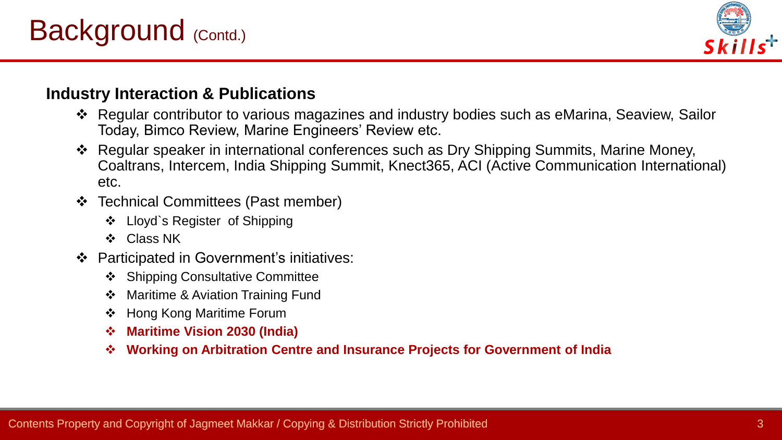

# **Industry Interaction & Publications**

- ❖ Regular contributor to various magazines and industry bodies such as eMarina, Seaview, Sailor Today, Bimco Review, Marine Engineers' Review etc.
- ❖ Regular speaker in international conferences such as Dry Shipping Summits, Marine Money, Coaltrans, Intercem, India Shipping Summit, Knect365, ACI (Active Communication International) etc.
- ❖ Technical Committees (Past member)
	- ❖ Lloyd`s Register of Shipping
	- ❖ Class NK
- ❖ Participated in Government's initiatives:
	- ❖ Shipping Consultative Committee
	- ❖ Maritime & Aviation Training Fund
	- ❖ Hong Kong Maritime Forum
	- ❖ **Maritime Vision 2030 (India)**
	- ❖ **Working on Arbitration Centre and Insurance Projects for Government of India**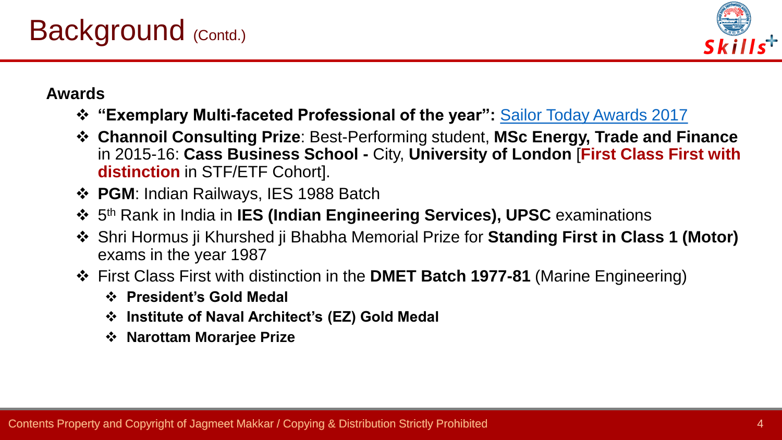

# **Awards**

- ❖ **"Exemplary Multi-faceted Professional of the year":** [Sailor Today Awards 2017](https://www.youtube.com/watch?v=3MedBPSi3lI&feature=youtu.be)
- ❖ **Channoil Consulting Prize**: Best-Performing student, **MSc Energy, Trade and Finance** in 2015-16: **Cass Business School -** City, **University of London** [**First Class First with distinction** in STF/ETF Cohort].
- ❖ **PGM**: Indian Railways, IES 1988 Batch
- ❖ 5 th Rank in India in **IES (Indian Engineering Services), UPSC** examinations
- ❖ Shri Hormus ji Khurshed ji Bhabha Memorial Prize for **Standing First in Class 1 (Motor)** exams in the year 1987
- ❖ First Class First with distinction in the **DMET Batch 1977-81** (Marine Engineering)
	- ❖ **President's Gold Medal**
	- ❖ **Institute of Naval Architect's (EZ) Gold Medal**
	- ❖ **Narottam Morarjee Prize**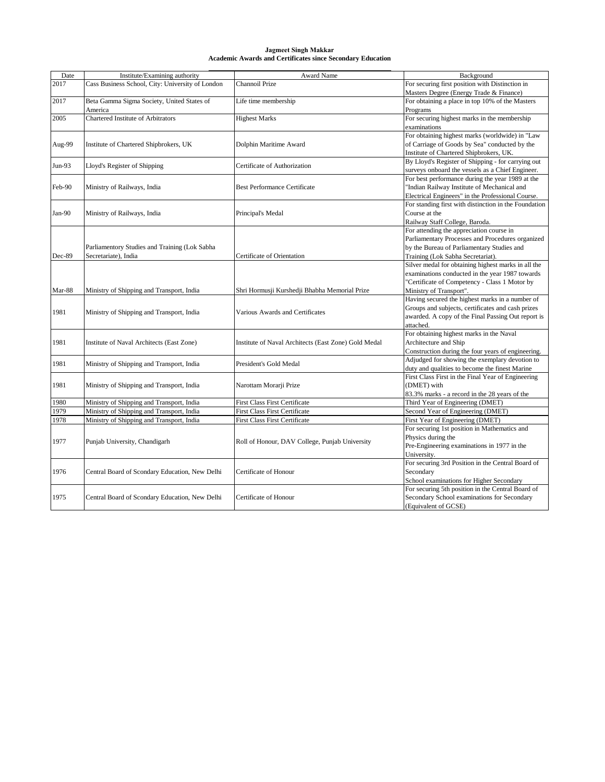#### **Jagmeet Singh Makkar Academic Awards and Certificates since Secondary Education**

| Date   | Institute/Examining authority                    | Award Name                                           | Background                                            |
|--------|--------------------------------------------------|------------------------------------------------------|-------------------------------------------------------|
| 2017   | Cass Business School, City: University of London | Channoil Prize                                       | For securing first position with Distinction in       |
|        |                                                  |                                                      | Masters Degree (Energy Trade & Finance)               |
| 2017   | Beta Gamma Sigma Society, United States of       | Life time membership                                 | For obtaining a place in top 10% of the Masters       |
|        | America                                          |                                                      | Programs                                              |
| 2005   | Chartered Institute of Arbitrators               | <b>Highest Marks</b>                                 | For securing highest marks in the membership          |
|        |                                                  |                                                      | examinations                                          |
|        |                                                  |                                                      | For obtaining highest marks (worldwide) in "Law       |
| Aug-99 | Institute of Chartered Shipbrokers, UK           | Dolphin Maritime Award                               | of Carriage of Goods by Sea" conducted by the         |
|        |                                                  |                                                      | Institute of Chartered Shipbrokers, UK.               |
| Jun-93 | Lloyd's Register of Shipping                     | Certificate of Authorization                         | By Lloyd's Register of Shipping - for carrying out    |
|        |                                                  |                                                      | surveys onboard the vessels as a Chief Engineer.      |
|        |                                                  |                                                      | For best performance during the year 1989 at the      |
| Feb-90 | Ministry of Railways, India                      | <b>Best Performance Certificate</b>                  | 'Indian Railway Institute of Mechanical and           |
|        |                                                  |                                                      | Electrical Engineers" in the Professional Course.     |
|        |                                                  |                                                      | For standing first with distinction in the Foundation |
| Jan-90 | Ministry of Railways, India                      | Principal's Medal                                    | Course at the                                         |
|        |                                                  |                                                      | Railway Staff College, Baroda.                        |
|        |                                                  |                                                      | For attending the appreciation course in              |
|        |                                                  |                                                      | Parliamentary Processes and Procedures organized      |
|        | Parliamentory Studies and Training (Lok Sabha    |                                                      | by the Bureau of Parliamentary Studies and            |
| Dec-89 | Secretariate), India                             | Certificate of Orientation                           | Training (Lok Sabha Secretariat).                     |
|        |                                                  |                                                      | Silver medal for obtaining highest marks in all the   |
|        |                                                  |                                                      | examinations conducted in the year 1987 towards       |
|        |                                                  |                                                      | 'Certificate of Competency - Class 1 Motor by         |
| Mar-88 | Ministry of Shipping and Transport, India        | Shri Hormusji Kurshedji Bhabha Memorial Prize        | Ministry of Transport".                               |
|        |                                                  |                                                      | Having secured the highest marks in a number of       |
| 1981   | Ministry of Shipping and Transport, India        | Various Awards and Certificates                      | Groups and subjects, certificates and cash prizes     |
|        |                                                  |                                                      | awarded. A copy of the Final Passing Out report is    |
|        |                                                  |                                                      | attached.<br>For obtaining highest marks in the Naval |
| 1981   |                                                  | Institute of Naval Architects (East Zone) Gold Medal | Architecture and Ship                                 |
|        | Institute of Naval Architects (East Zone)        |                                                      | Construction during the four years of engineering.    |
|        |                                                  |                                                      | Adjudged for showing the exemplary devotion to        |
| 1981   | Ministry of Shipping and Transport, India        | President's Gold Medal                               | duty and qualities to become the finest Marine        |
|        |                                                  |                                                      | First Class First in the Final Year of Engineering    |
| 1981   | Ministry of Shipping and Transport, India        | Narottam Morarji Prize                               | (DMET) with                                           |
|        |                                                  |                                                      | 83.3% marks - a record in the 28 years of the         |
| 1980   | Ministry of Shipping and Transport, India        | <b>First Class First Certificate</b>                 | Third Year of Engineering (DMET)                      |
| 1979   | Ministry of Shipping and Transport, India        | First Class First Certificate                        | Second Year of Engineering (DMET)                     |
| 1978   | Ministry of Shipping and Transport, India        | <b>First Class First Certificate</b>                 | First Year of Engineering (DMET)                      |
|        |                                                  |                                                      | For securing 1st position in Mathematics and          |
|        |                                                  |                                                      | Physics during the                                    |
| 1977   | Punjab University, Chandigarh                    | Roll of Honour, DAV College, Punjab University       | Pre-Engineering examinations in 1977 in the           |
|        |                                                  |                                                      | University.                                           |
|        |                                                  |                                                      | For securing 3rd Position in the Central Board of     |
| 1976   | Central Board of Scondary Education, New Delhi   | Certificate of Honour                                | Secondary                                             |
|        |                                                  |                                                      | School examinations for Higher Secondary              |
|        |                                                  |                                                      | For securing 5th position in the Central Board of     |
| 1975   | Central Board of Scondary Education, New Delhi   | Certificate of Honour                                | Secondary School examinations for Secondary           |
|        |                                                  |                                                      | (Equivalent of GCSE)                                  |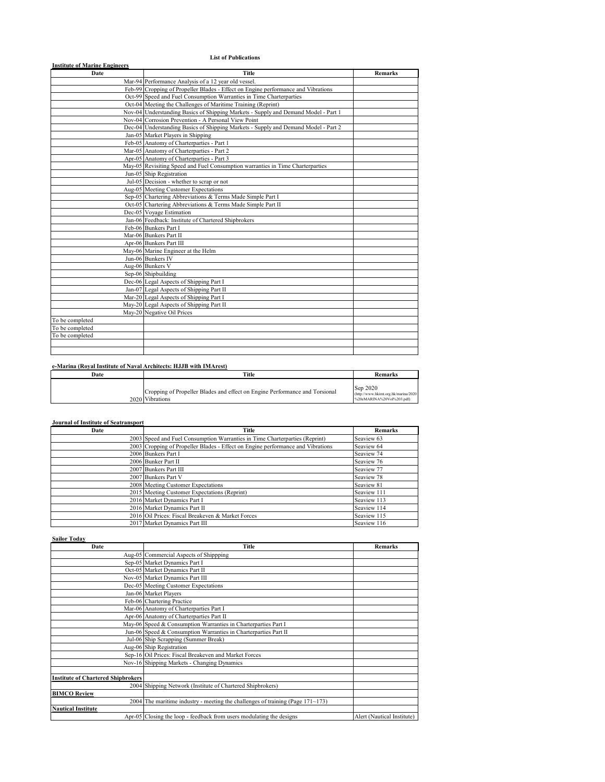### **List of Publications**

| Title | <b>Remarks</b>                                                                                                                                                                                                                                                                                                                                                                                                                                                                                                                                                                                                                                                                                                                                                                                                                                                                                                                                                                                                                                                                                                                                                                                                                                                                                                                                                                                                                                                                                                     |
|-------|--------------------------------------------------------------------------------------------------------------------------------------------------------------------------------------------------------------------------------------------------------------------------------------------------------------------------------------------------------------------------------------------------------------------------------------------------------------------------------------------------------------------------------------------------------------------------------------------------------------------------------------------------------------------------------------------------------------------------------------------------------------------------------------------------------------------------------------------------------------------------------------------------------------------------------------------------------------------------------------------------------------------------------------------------------------------------------------------------------------------------------------------------------------------------------------------------------------------------------------------------------------------------------------------------------------------------------------------------------------------------------------------------------------------------------------------------------------------------------------------------------------------|
|       |                                                                                                                                                                                                                                                                                                                                                                                                                                                                                                                                                                                                                                                                                                                                                                                                                                                                                                                                                                                                                                                                                                                                                                                                                                                                                                                                                                                                                                                                                                                    |
|       |                                                                                                                                                                                                                                                                                                                                                                                                                                                                                                                                                                                                                                                                                                                                                                                                                                                                                                                                                                                                                                                                                                                                                                                                                                                                                                                                                                                                                                                                                                                    |
|       |                                                                                                                                                                                                                                                                                                                                                                                                                                                                                                                                                                                                                                                                                                                                                                                                                                                                                                                                                                                                                                                                                                                                                                                                                                                                                                                                                                                                                                                                                                                    |
|       |                                                                                                                                                                                                                                                                                                                                                                                                                                                                                                                                                                                                                                                                                                                                                                                                                                                                                                                                                                                                                                                                                                                                                                                                                                                                                                                                                                                                                                                                                                                    |
|       |                                                                                                                                                                                                                                                                                                                                                                                                                                                                                                                                                                                                                                                                                                                                                                                                                                                                                                                                                                                                                                                                                                                                                                                                                                                                                                                                                                                                                                                                                                                    |
|       |                                                                                                                                                                                                                                                                                                                                                                                                                                                                                                                                                                                                                                                                                                                                                                                                                                                                                                                                                                                                                                                                                                                                                                                                                                                                                                                                                                                                                                                                                                                    |
|       |                                                                                                                                                                                                                                                                                                                                                                                                                                                                                                                                                                                                                                                                                                                                                                                                                                                                                                                                                                                                                                                                                                                                                                                                                                                                                                                                                                                                                                                                                                                    |
|       |                                                                                                                                                                                                                                                                                                                                                                                                                                                                                                                                                                                                                                                                                                                                                                                                                                                                                                                                                                                                                                                                                                                                                                                                                                                                                                                                                                                                                                                                                                                    |
|       |                                                                                                                                                                                                                                                                                                                                                                                                                                                                                                                                                                                                                                                                                                                                                                                                                                                                                                                                                                                                                                                                                                                                                                                                                                                                                                                                                                                                                                                                                                                    |
|       |                                                                                                                                                                                                                                                                                                                                                                                                                                                                                                                                                                                                                                                                                                                                                                                                                                                                                                                                                                                                                                                                                                                                                                                                                                                                                                                                                                                                                                                                                                                    |
|       |                                                                                                                                                                                                                                                                                                                                                                                                                                                                                                                                                                                                                                                                                                                                                                                                                                                                                                                                                                                                                                                                                                                                                                                                                                                                                                                                                                                                                                                                                                                    |
|       |                                                                                                                                                                                                                                                                                                                                                                                                                                                                                                                                                                                                                                                                                                                                                                                                                                                                                                                                                                                                                                                                                                                                                                                                                                                                                                                                                                                                                                                                                                                    |
|       |                                                                                                                                                                                                                                                                                                                                                                                                                                                                                                                                                                                                                                                                                                                                                                                                                                                                                                                                                                                                                                                                                                                                                                                                                                                                                                                                                                                                                                                                                                                    |
|       |                                                                                                                                                                                                                                                                                                                                                                                                                                                                                                                                                                                                                                                                                                                                                                                                                                                                                                                                                                                                                                                                                                                                                                                                                                                                                                                                                                                                                                                                                                                    |
|       |                                                                                                                                                                                                                                                                                                                                                                                                                                                                                                                                                                                                                                                                                                                                                                                                                                                                                                                                                                                                                                                                                                                                                                                                                                                                                                                                                                                                                                                                                                                    |
|       |                                                                                                                                                                                                                                                                                                                                                                                                                                                                                                                                                                                                                                                                                                                                                                                                                                                                                                                                                                                                                                                                                                                                                                                                                                                                                                                                                                                                                                                                                                                    |
|       |                                                                                                                                                                                                                                                                                                                                                                                                                                                                                                                                                                                                                                                                                                                                                                                                                                                                                                                                                                                                                                                                                                                                                                                                                                                                                                                                                                                                                                                                                                                    |
|       |                                                                                                                                                                                                                                                                                                                                                                                                                                                                                                                                                                                                                                                                                                                                                                                                                                                                                                                                                                                                                                                                                                                                                                                                                                                                                                                                                                                                                                                                                                                    |
|       |                                                                                                                                                                                                                                                                                                                                                                                                                                                                                                                                                                                                                                                                                                                                                                                                                                                                                                                                                                                                                                                                                                                                                                                                                                                                                                                                                                                                                                                                                                                    |
|       |                                                                                                                                                                                                                                                                                                                                                                                                                                                                                                                                                                                                                                                                                                                                                                                                                                                                                                                                                                                                                                                                                                                                                                                                                                                                                                                                                                                                                                                                                                                    |
|       |                                                                                                                                                                                                                                                                                                                                                                                                                                                                                                                                                                                                                                                                                                                                                                                                                                                                                                                                                                                                                                                                                                                                                                                                                                                                                                                                                                                                                                                                                                                    |
|       |                                                                                                                                                                                                                                                                                                                                                                                                                                                                                                                                                                                                                                                                                                                                                                                                                                                                                                                                                                                                                                                                                                                                                                                                                                                                                                                                                                                                                                                                                                                    |
|       |                                                                                                                                                                                                                                                                                                                                                                                                                                                                                                                                                                                                                                                                                                                                                                                                                                                                                                                                                                                                                                                                                                                                                                                                                                                                                                                                                                                                                                                                                                                    |
|       |                                                                                                                                                                                                                                                                                                                                                                                                                                                                                                                                                                                                                                                                                                                                                                                                                                                                                                                                                                                                                                                                                                                                                                                                                                                                                                                                                                                                                                                                                                                    |
|       |                                                                                                                                                                                                                                                                                                                                                                                                                                                                                                                                                                                                                                                                                                                                                                                                                                                                                                                                                                                                                                                                                                                                                                                                                                                                                                                                                                                                                                                                                                                    |
|       |                                                                                                                                                                                                                                                                                                                                                                                                                                                                                                                                                                                                                                                                                                                                                                                                                                                                                                                                                                                                                                                                                                                                                                                                                                                                                                                                                                                                                                                                                                                    |
|       |                                                                                                                                                                                                                                                                                                                                                                                                                                                                                                                                                                                                                                                                                                                                                                                                                                                                                                                                                                                                                                                                                                                                                                                                                                                                                                                                                                                                                                                                                                                    |
|       |                                                                                                                                                                                                                                                                                                                                                                                                                                                                                                                                                                                                                                                                                                                                                                                                                                                                                                                                                                                                                                                                                                                                                                                                                                                                                                                                                                                                                                                                                                                    |
|       |                                                                                                                                                                                                                                                                                                                                                                                                                                                                                                                                                                                                                                                                                                                                                                                                                                                                                                                                                                                                                                                                                                                                                                                                                                                                                                                                                                                                                                                                                                                    |
|       |                                                                                                                                                                                                                                                                                                                                                                                                                                                                                                                                                                                                                                                                                                                                                                                                                                                                                                                                                                                                                                                                                                                                                                                                                                                                                                                                                                                                                                                                                                                    |
|       |                                                                                                                                                                                                                                                                                                                                                                                                                                                                                                                                                                                                                                                                                                                                                                                                                                                                                                                                                                                                                                                                                                                                                                                                                                                                                                                                                                                                                                                                                                                    |
|       |                                                                                                                                                                                                                                                                                                                                                                                                                                                                                                                                                                                                                                                                                                                                                                                                                                                                                                                                                                                                                                                                                                                                                                                                                                                                                                                                                                                                                                                                                                                    |
|       |                                                                                                                                                                                                                                                                                                                                                                                                                                                                                                                                                                                                                                                                                                                                                                                                                                                                                                                                                                                                                                                                                                                                                                                                                                                                                                                                                                                                                                                                                                                    |
|       |                                                                                                                                                                                                                                                                                                                                                                                                                                                                                                                                                                                                                                                                                                                                                                                                                                                                                                                                                                                                                                                                                                                                                                                                                                                                                                                                                                                                                                                                                                                    |
|       |                                                                                                                                                                                                                                                                                                                                                                                                                                                                                                                                                                                                                                                                                                                                                                                                                                                                                                                                                                                                                                                                                                                                                                                                                                                                                                                                                                                                                                                                                                                    |
|       | Mar-94 Performance Analysis of a 12 year old vessel.<br>Feb-99 Cropping of Propeller Blades - Effect on Engine performance and Vibrations<br>Oct-99 Speed and Fuel Consumption Warranties in Time Charterparties<br>Oct-04 Meeting the Challenges of Maritime Training (Reprint)<br>Nov-04 Understanding Basics of Shipping Markets - Supply and Demand Model - Part 1<br>Nov-04 Corrosion Prevention - A Personal View Point<br>Dec-04 Understanding Basics of Shipping Markets - Supply and Demand Model - Part 2<br>Jan-05 Market Players in Shipping<br>Feb-05 Anatomy of Charterparties - Part 1<br>Mar-05 Anatomy of Charterparties - Part 2<br>Apr-05 Anatomy of Charterparties - Part 3<br>May-05 Revisiting Speed and Fuel Consumption warranties in Time Charterparties<br>Jun-05 Ship Registration<br>Jul-05 Decision - whether to scrap or not<br>Aug-05 Meeting Customer Expectations<br>Sep-05 Chartering Abbreviations & Terms Made Simple Part I<br>Oct-05 Chartering Abbreviations & Terms Made Simple Part II<br>Dec-05 Voyage Estimation<br>Jan-06 Feedback: Institute of Chartered Shipbrokers<br>Feb-06 Bunkers Part I<br>Mar-06 Bunkers Part II<br>Apr-06 Bunkers Part III<br>May-06 Marine Engineer at the Helm<br>Jun-06 Bunkers IV<br>Aug-06 Bunkers V<br>Sep-06 Shipbuilding<br>Dec-06 Legal Aspects of Shipping Part I<br>Jan-07 Legal Aspects of Shipping Part II<br>Mar-20 Legal Aspects of Shipping Part I<br>May-20 Legal Aspects of Shipping Part II<br>May-20 Negative Oil Prices |

### **e-Marina (Royal Institute of Naval Architects: HJJB with IMArest)**

| Date | Title                                                                                          | <b>Remarks</b>                                                                |
|------|------------------------------------------------------------------------------------------------|-------------------------------------------------------------------------------|
|      | Cropping of Propeller Blades and effect on Engine Performance and Torsional<br>2020 Vibrations | Sep 2020<br>(http://www.hkimt.org.hk/marina/2020<br>%20eMARINA%20Vol%203.pdf) |

| <b>Journal of Institute of Seatransport</b> |                                                                                 |                |
|---------------------------------------------|---------------------------------------------------------------------------------|----------------|
| Date                                        | Title                                                                           | <b>Remarks</b> |
|                                             | 2003 Speed and Fuel Consumption Warranties in Time Charterparties (Reprint)     | Seaview 63     |
|                                             | 2003 Cropping of Propeller Blades - Effect on Engine performance and Vibrations | Seaview 64     |
|                                             | 2006 Bunkers Part I                                                             | Seaview 74     |
|                                             | 2006 Bunker Part II                                                             | Seaview 76     |
|                                             | 2007 Bunkers Part III                                                           | Seaview 77     |
|                                             | 2007 Bunkers Part V                                                             | Seaview 78     |
|                                             | 2008 Meeting Customer Expectations                                              | Seaview 81     |
|                                             | 2015 Meeting Customer Expectations (Reprint)                                    | Seaview 111    |
|                                             | 2016 Market Dynamics Part I                                                     | Seaview 113    |
|                                             | 2016 Market Dynamics Part II                                                    | Seaview 114    |
|                                             | 2016 Oil Prices: Fiscal Breakeven & Market Forces                               | Seaview 115    |
|                                             | 2017 Market Dynamics Part III                                                   | Seaview 116    |

| <b>Sailor Today</b>                                            |                                                                                        |                            |
|----------------------------------------------------------------|----------------------------------------------------------------------------------------|----------------------------|
| Date                                                           | Title                                                                                  | <b>Remarks</b>             |
|                                                                | Aug-05 Commercial Aspects of Shippping                                                 |                            |
|                                                                | Sep-05 Market Dynamics Part I                                                          |                            |
|                                                                | Oct-05 Market Dynamics Part II                                                         |                            |
|                                                                | Nov-05 Market Dynamics Part III                                                        |                            |
|                                                                | Dec-05 Meeting Customer Expectations                                                   |                            |
|                                                                | Jan-06 Market Players                                                                  |                            |
|                                                                | Feb-06 Chartering Practice                                                             |                            |
|                                                                | Mar-06 Anatomy of Charterparties Part I                                                |                            |
|                                                                | Apr-06 Anatomy of Charterparties Part II                                               |                            |
| May-06 Speed & Consumption Warranties in Charterparties Part I |                                                                                        |                            |
|                                                                | Jun-06 Speed & Consumption Warranties in Charterparties Part II                        |                            |
|                                                                | Jul-06 Ship Scrapping (Summer Break)                                                   |                            |
|                                                                | Aug-06 Ship Registration                                                               |                            |
|                                                                | Sep-16 Oil Prices: Fiscal Breakeven and Market Forces                                  |                            |
|                                                                | Nov-16 Shipping Markets - Changing Dynamics                                            |                            |
|                                                                |                                                                                        |                            |
| <b>Institute of Chartered Shipbrokers</b>                      |                                                                                        |                            |
|                                                                | 2004 Shipping Network (Institute of Chartered Shipbrokers)                             |                            |
| <b>BIMCO Review</b>                                            |                                                                                        |                            |
|                                                                | 2004 The maritime industry - meeting the challenges of training (Page $171 \sim 173$ ) |                            |
| <b>Nautical Institute</b>                                      |                                                                                        |                            |
|                                                                | Apr-05 Closing the loop - feedback from users modulating the designs                   | Alert (Nautical Institute) |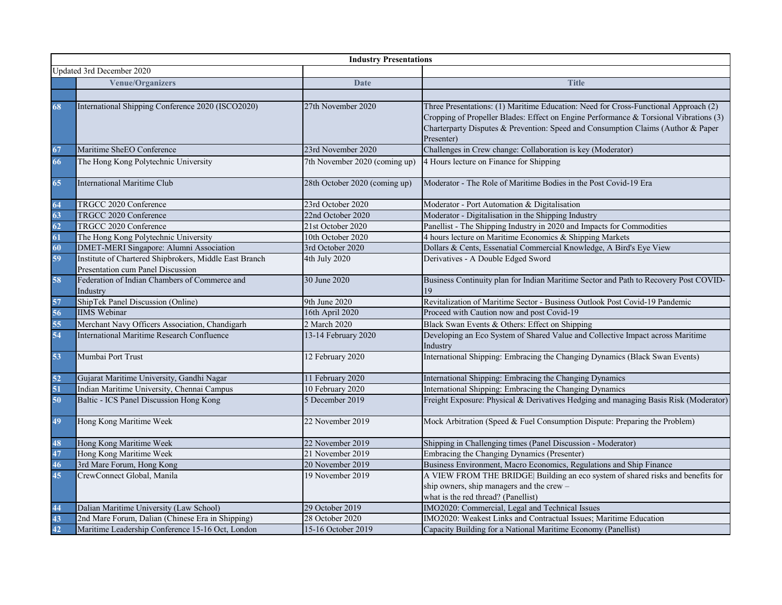|    |                                                                                             | <b>Industry Presentations</b> |                                                                                                                                                                                                                                                                                |  |  |
|----|---------------------------------------------------------------------------------------------|-------------------------------|--------------------------------------------------------------------------------------------------------------------------------------------------------------------------------------------------------------------------------------------------------------------------------|--|--|
|    | Updated 3rd December 2020                                                                   |                               |                                                                                                                                                                                                                                                                                |  |  |
|    | <b>Venue/Organizers</b>                                                                     | <b>Date</b>                   | <b>Title</b>                                                                                                                                                                                                                                                                   |  |  |
|    |                                                                                             |                               |                                                                                                                                                                                                                                                                                |  |  |
| 68 | International Shipping Conference 2020 (ISCO2020)                                           | 27th November 2020            | Three Presentations: (1) Maritime Education: Need for Cross-Functional Approach (2)<br>Cropping of Propeller Blades: Effect on Engine Performance & Torsional Vibrations (3)<br>Charterparty Disputes & Prevention: Speed and Consumption Claims (Author & Paper<br>Presenter) |  |  |
| 67 | Maritime SheEO Conference                                                                   | 23rd November 2020            | Challenges in Crew change: Collaboration is key (Moderator)                                                                                                                                                                                                                    |  |  |
| 66 | The Hong Kong Polytechnic University                                                        | 7th November 2020 (coming up) | 4 Hours lecture on Finance for Shipping                                                                                                                                                                                                                                        |  |  |
| 65 | <b>International Maritime Club</b>                                                          | 28th October 2020 (coming up) | Moderator - The Role of Maritime Bodies in the Post Covid-19 Era                                                                                                                                                                                                               |  |  |
| 64 | TRGCC 2020 Conference                                                                       | 23rd October 2020             | Moderator - Port Automation & Digitalisation                                                                                                                                                                                                                                   |  |  |
| 63 | TRGCC 2020 Conference                                                                       | 22nd October 2020             | Moderator - Digitalisation in the Shipping Industry                                                                                                                                                                                                                            |  |  |
| 62 | TRGCC 2020 Conference                                                                       | 21st October 2020             | Panellist - The Shipping Industry in 2020 and Impacts for Commodities                                                                                                                                                                                                          |  |  |
| 61 | The Hong Kong Polytechnic University                                                        | 10th October 2020             | 4 hours lecture on Maritime Economics & Shipping Markets                                                                                                                                                                                                                       |  |  |
| 60 | <b>DMET-MERI Singapore: Alumni Association</b>                                              | 3rd October 2020              | Dollars & Cents, Essenatial Commercial Knowledge, A Bird's Eye View                                                                                                                                                                                                            |  |  |
| 59 | Institute of Chartered Shipbrokers, Middle East Branch<br>Presentation cum Panel Discussion | 4th July 2020                 | Derivatives - A Double Edged Sword                                                                                                                                                                                                                                             |  |  |
| 58 | Federation of Indian Chambers of Commerce and<br>Industry                                   | 30 June 2020                  | Business Continuity plan for Indian Maritime Sector and Path to Recovery Post COVID-                                                                                                                                                                                           |  |  |
| 57 | ShipTek Panel Discussion (Online)                                                           | 9th June 2020                 | Revitalization of Maritime Sector - Business Outlook Post Covid-19 Pandemic                                                                                                                                                                                                    |  |  |
| 56 | <b>IIMS</b> Webinar                                                                         | 16th April 2020               | Proceed with Caution now and post Covid-19                                                                                                                                                                                                                                     |  |  |
| 55 | Merchant Navy Officers Association, Chandigarh                                              | 2 March 2020                  | Black Swan Events & Others: Effect on Shipping                                                                                                                                                                                                                                 |  |  |
| 54 | International Maritime Research Confluence                                                  | 13-14 February 2020           | Developing an Eco System of Shared Value and Collective Impact across Maritime<br>Industry                                                                                                                                                                                     |  |  |
| 53 | Mumbai Port Trust                                                                           | 12 February 2020              | International Shipping: Embracing the Changing Dynamics (Black Swan Events)                                                                                                                                                                                                    |  |  |
| 52 | Gujarat Maritime University, Gandhi Nagar                                                   | 11 February 2020              | International Shipping: Embracing the Changing Dynamics                                                                                                                                                                                                                        |  |  |
| 51 | Indian Maritime University, Chennai Campus                                                  | 10 February 2020              | International Shipping: Embracing the Changing Dynamics                                                                                                                                                                                                                        |  |  |
| 50 | Baltic - ICS Panel Discussion Hong Kong                                                     | 5 December 2019               | Freight Exposure: Physical & Derivatives Hedging and managing Basis Risk (Moderator)                                                                                                                                                                                           |  |  |
| 49 | Hong Kong Maritime Week                                                                     | 22 November 2019              | Mock Arbitration (Speed & Fuel Consumption Dispute: Preparing the Problem)                                                                                                                                                                                                     |  |  |
| 48 | Hong Kong Maritime Week                                                                     | 22 November 2019              | Shipping in Challenging times (Panel Discussion - Moderator)                                                                                                                                                                                                                   |  |  |
| 47 | Hong Kong Maritime Week                                                                     | 21 November 2019              | Embracing the Changing Dynamics (Presenter)                                                                                                                                                                                                                                    |  |  |
| 46 | 3rd Mare Forum, Hong Kong                                                                   | 20 November 2019              | Business Environment, Macro Economics, Regulations and Ship Finance                                                                                                                                                                                                            |  |  |
| 45 | CrewConnect Global, Manila                                                                  | 19 November 2019              | A VIEW FROM THE BRIDGE Building an eco system of shared risks and benefits for<br>ship owners, ship managers and the crew -<br>what is the red thread? (Panellist)                                                                                                             |  |  |
| 44 | Dalian Maritime University (Law School)                                                     | 29 October 2019               | IMO2020: Commercial, Legal and Technical Issues                                                                                                                                                                                                                                |  |  |
| 43 | 2nd Mare Forum, Dalian (Chinese Era in Shipping)                                            | 28 October 2020               | IMO2020: Weakest Links and Contractual Issues; Maritime Education                                                                                                                                                                                                              |  |  |
| 42 | Maritime Leadership Conference 15-16 Oct, London                                            | 15-16 October 2019            | Capacity Building for a National Maritime Economy (Panellist)                                                                                                                                                                                                                  |  |  |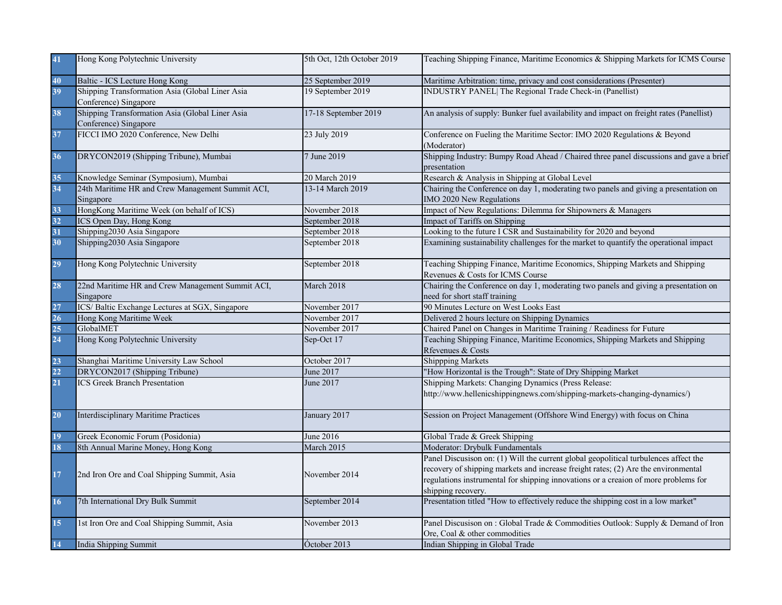| 41              | Hong Kong Polytechnic University                                         | 5th Oct, 12th October 2019 | Teaching Shipping Finance, Maritime Economics & Shipping Markets for ICMS Course                                                                                                                                                                                                        |
|-----------------|--------------------------------------------------------------------------|----------------------------|-----------------------------------------------------------------------------------------------------------------------------------------------------------------------------------------------------------------------------------------------------------------------------------------|
| 40              | Baltic - ICS Lecture Hong Kong                                           | 25 September 2019          | Maritime Arbitration: time, privacy and cost considerations (Presenter)                                                                                                                                                                                                                 |
| 39              | Shipping Transformation Asia (Global Liner Asia<br>Conference) Singapore | 19 September 2019          | INDUSTRY PANEL  The Regional Trade Check-in (Panellist)                                                                                                                                                                                                                                 |
| 38              | Shipping Transformation Asia (Global Liner Asia<br>Conference) Singapore | 17-18 September 2019       | An analysis of supply: Bunker fuel availability and impact on freight rates (Panellist)                                                                                                                                                                                                 |
| 37              | FICCI IMO 2020 Conference, New Delhi                                     | 23 July 2019               | Conference on Fueling the Maritime Sector: IMO 2020 Regulations & Beyond<br>(Moderator)                                                                                                                                                                                                 |
| 36              | DRYCON2019 (Shipping Tribune), Mumbai                                    | 7 June 2019                | Shipping Industry: Bumpy Road Ahead / Chaired three panel discussions and gave a brief<br>presentation                                                                                                                                                                                  |
| 35              | Knowledge Seminar (Symposium), Mumbai                                    | 20 March 2019              | Research & Analysis in Shipping at Global Level                                                                                                                                                                                                                                         |
| 34              | 24th Maritime HR and Crew Management Summit ACI,<br>Singapore            | 13-14 March 2019           | Chairing the Conference on day 1, moderating two panels and giving a presentation on<br>IMO 2020 New Regulations                                                                                                                                                                        |
| 33              | HongKong Maritime Week (on behalf of ICS)                                | November 2018              | Impact of New Regulations: Dilemma for Shipowners & Managers                                                                                                                                                                                                                            |
| 32              | ICS Open Day, Hong Kong                                                  | September 2018             | Impact of Tariffs on Shipping                                                                                                                                                                                                                                                           |
| 31              | Shipping2030 Asia Singapore                                              | September 2018             | Looking to the future I CSR and Sustainability for 2020 and beyond                                                                                                                                                                                                                      |
| 30 <sup>°</sup> | Shipping2030 Asia Singapore                                              | September 2018             | Examining sustainability challenges for the market to quantify the operational impact                                                                                                                                                                                                   |
| 29              | Hong Kong Polytechnic University                                         | September 2018             | Teaching Shipping Finance, Maritime Economics, Shipping Markets and Shipping<br>Revenues & Costs for ICMS Course                                                                                                                                                                        |
| 28              | 22nd Maritime HR and Crew Management Summit ACI,<br>Singapore            | March 2018                 | Chairing the Conference on day 1, moderating two panels and giving a presentation on<br>need for short staff training                                                                                                                                                                   |
| 27              | ICS/Baltic Exchange Lectures at SGX, Singapore                           | November 2017              | 90 Minutes Lecture on West Looks East                                                                                                                                                                                                                                                   |
| 26              | Hong Kong Maritime Week                                                  | November 2017              | Delivered 2 hours lecture on Shipping Dynamics                                                                                                                                                                                                                                          |
| 25              | GlobalMET                                                                | November 2017              | Chaired Panel on Changes in Maritime Training / Readiness for Future                                                                                                                                                                                                                    |
| 24              | Hong Kong Polytechnic University                                         | Sep-Oct 17                 | Teaching Shipping Finance, Maritime Economics, Shipping Markets and Shipping<br>Rfevenues & Costs                                                                                                                                                                                       |
| 23              | Shanghai Maritime University Law School                                  | October 2017               | <b>Shippping Markets</b>                                                                                                                                                                                                                                                                |
| 22              | DRYCON2017 (Shipping Tribune)                                            | June 2017                  | "How Horizontal is the Trough": State of Dry Shipping Market                                                                                                                                                                                                                            |
| 21              | <b>ICS Greek Branch Presentation</b>                                     | June 2017                  | Shipping Markets: Changing Dynamics (Press Release:<br>http://www.hellenicshippingnews.com/shipping-markets-changing-dynamics/)                                                                                                                                                         |
| 20 <sub>2</sub> | <b>Interdisciplinary Maritime Practices</b>                              | January 2017               | Session on Project Management (Offshore Wind Energy) with focus on China                                                                                                                                                                                                                |
| 19              | Greek Economic Forum (Posidonia)                                         | June 2016                  | Global Trade & Greek Shipping                                                                                                                                                                                                                                                           |
| 18              | 8th Annual Marine Money, Hong Kong                                       | March 2015                 | Moderator: Drybulk Fundamentals                                                                                                                                                                                                                                                         |
| 17              | 2nd Iron Ore and Coal Shipping Summit, Asia                              | November 2014              | Panel Discusison on: (1) Will the current global geopolitical turbulences affect the<br>recovery of shipping markets and increase freight rates; (2) Are the environmental<br>regulations instrumental for shipping innovations or a creaion of more problems for<br>shipping recovery. |
| 16              | 7th International Dry Bulk Summit                                        | September 2014             | Presentation titled "How to effectively reduce the shipping cost in a low market"                                                                                                                                                                                                       |
| 15              | 1st Iron Ore and Coal Shipping Summit, Asia                              | November 2013              | Panel Discusison on : Global Trade & Commodities Outlook: Supply & Demand of Iron<br>Ore, Coal & other commodities                                                                                                                                                                      |
| 14              | India Shipping Summit                                                    | Óctober 2013               | Indian Shipping in Global Trade                                                                                                                                                                                                                                                         |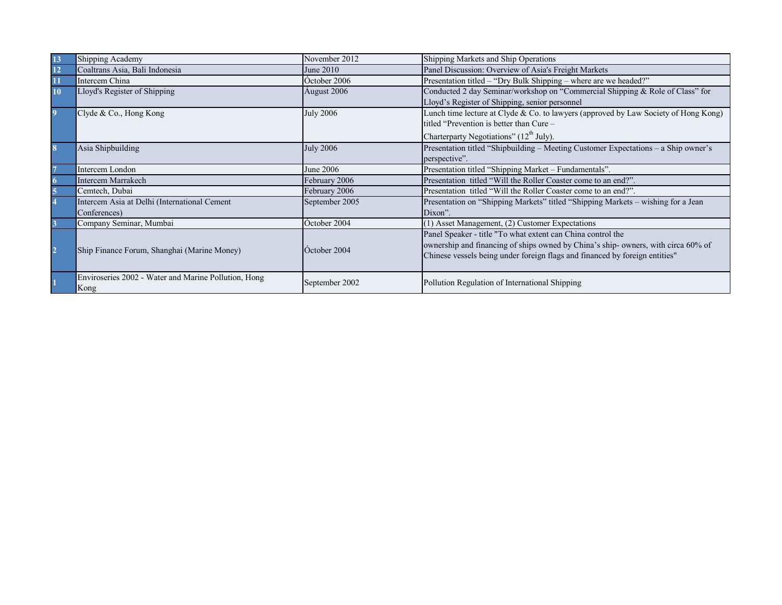| 13               | Shipping Academy                                     | November 2012    | Shipping Markets and Ship Operations                                                |
|------------------|------------------------------------------------------|------------------|-------------------------------------------------------------------------------------|
| 12               | Coaltrans Asia, Bali Indonesia                       | June 2010        | Panel Discussion: Overview of Asia's Freight Markets                                |
| 11               | Intercem China                                       | October 2006     | Presentation titled - "Dry Bulk Shipping - where are we headed?"                    |
| 10               | Lloyd's Register of Shipping                         | Áugust 2006      | Conducted 2 day Seminar/workshop on "Commercial Shipping & Role of Class" for       |
|                  |                                                      |                  | Lloyd's Register of Shipping, senior personnel                                      |
| $\boldsymbol{9}$ | Clyde & Co., Hong Kong                               | <b>July 2006</b> | Lunch time lecture at Clyde & Co. to lawyers (approved by Law Society of Hong Kong) |
|                  |                                                      |                  | titled "Prevention is better than Cure –                                            |
|                  |                                                      |                  | Charterparty Negotiations" (12 <sup>th</sup> July).                                 |
| 8                | Asia Shipbuilding                                    | <b>July 2006</b> | Presentation titled "Shipbuilding - Meeting Customer Expectations - a Ship owner's  |
|                  |                                                      |                  | perspective".                                                                       |
| $\overline{7}$   | Intercem London                                      | June 2006        | Presentation titled "Shipping Market – Fundamentals".                               |
|                  | Intercem Marrakech                                   | February 2006    | Presentation titled "Will the Roller Coaster come to an end?".                      |
|                  | Cemtech, Dubai                                       | February 2006    | Presentation titled "Will the Roller Coaster come to an end?".                      |
|                  | Intercem Asia at Delhi (International Cement         | September 2005   | Presentation on "Shipping Markets" titled "Shipping Markets - wishing for a Jean    |
|                  | Conferences)                                         |                  | Dixon".                                                                             |
|                  | Company Seminar, Mumbai                              | October 2004     | (1) Asset Management, (2) Customer Expectations                                     |
|                  |                                                      |                  | Panel Speaker - title "To what extent can China control the                         |
| $\overline{2}$   |                                                      | Óctober 2004     | ownership and financing of ships owned by China's ship-owners, with circa 60% of    |
|                  | Ship Finance Forum, Shanghai (Marine Money)          |                  | Chinese vessels being under foreign flags and financed by foreign entities"         |
|                  |                                                      |                  |                                                                                     |
|                  | Enviroseries 2002 - Water and Marine Pollution, Hong |                  |                                                                                     |
|                  | Kong                                                 | September 2002   | Pollution Regulation of International Shipping                                      |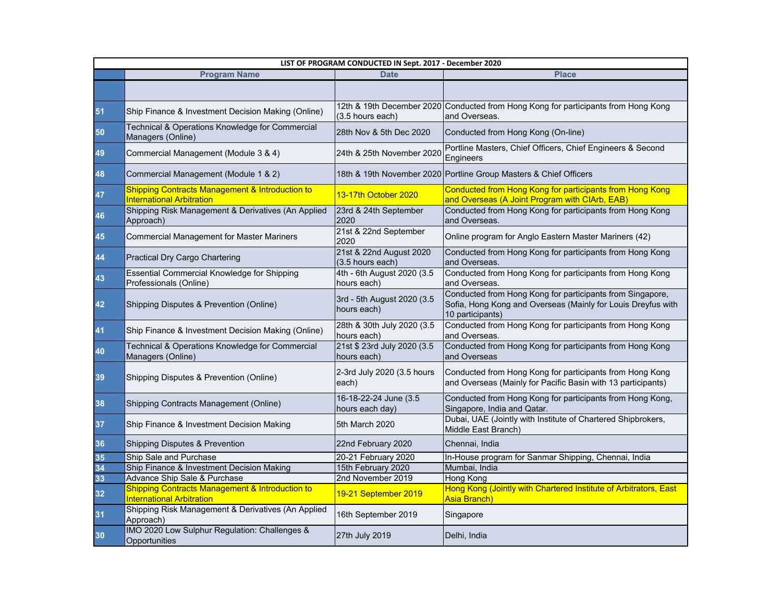| LIST OF PROGRAM CONDUCTED IN Sept. 2017 - December 2020 |                                                                                                |                                             |                                                                                                                                               |  |
|---------------------------------------------------------|------------------------------------------------------------------------------------------------|---------------------------------------------|-----------------------------------------------------------------------------------------------------------------------------------------------|--|
|                                                         | <b>Program Name</b>                                                                            | <b>Date</b>                                 | <b>Place</b>                                                                                                                                  |  |
|                                                         |                                                                                                |                                             |                                                                                                                                               |  |
| 51                                                      | Ship Finance & Investment Decision Making (Online)                                             | (3.5 hours each)                            | 12th & 19th December 2020 Conducted from Hong Kong for participants from Hong Kong<br>and Overseas.                                           |  |
| 50                                                      | Technical & Operations Knowledge for Commercial<br>Managers (Online)                           | 28th Nov & 5th Dec 2020                     | Conducted from Hong Kong (On-line)                                                                                                            |  |
| 49                                                      | Commercial Management (Module 3 & 4)                                                           | 24th & 25th November 2020                   | Portline Masters, Chief Officers, Chief Engineers & Second<br>Engineers                                                                       |  |
| 48                                                      | Commercial Management (Module 1 & 2)                                                           |                                             | 18th & 19th November 2020 Portline Group Masters & Chief Officers                                                                             |  |
| 47                                                      | <b>Shipping Contracts Management &amp; Introduction to</b><br><b>International Arbitration</b> | 13-17th October 2020                        | <b>Conducted from Hong Kong for participants from Hong Kong</b><br>and Overseas (A Joint Program with CIArb, EAB)                             |  |
| 46                                                      | Shipping Risk Management & Derivatives (An Applied<br>Approach)                                | 23rd & 24th September<br>2020               | Conducted from Hong Kong for participants from Hong Kong<br>and Overseas.                                                                     |  |
| 45                                                      | <b>Commercial Management for Master Mariners</b>                                               | 21st & 22nd September<br>2020               | Online program for Anglo Eastern Master Mariners (42)                                                                                         |  |
| 44                                                      | <b>Practical Dry Cargo Chartering</b>                                                          | 21st & 22nd August 2020<br>(3.5 hours each) | Conducted from Hong Kong for participants from Hong Kong<br>and Overseas.                                                                     |  |
| 43                                                      | <b>Essential Commercial Knowledge for Shipping</b><br>Professionals (Online)                   | 4th - 6th August 2020 (3.5<br>hours each)   | Conducted from Hong Kong for participants from Hong Kong<br>and Overseas.                                                                     |  |
| 42                                                      | Shipping Disputes & Prevention (Online)                                                        | 3rd - 5th August 2020 (3.5<br>hours each)   | Conducted from Hong Kong for participants from Singapore,<br>Sofia, Hong Kong and Overseas (Mainly for Louis Dreyfus with<br>10 participants) |  |
| 41                                                      | Ship Finance & Investment Decision Making (Online)                                             | 28th & 30th July 2020 (3.5<br>hours each)   | Conducted from Hong Kong for participants from Hong Kong<br>and Overseas.                                                                     |  |
| 40                                                      | Technical & Operations Knowledge for Commercial<br>Managers (Online)                           | 21st \$ 23rd July 2020 (3.5<br>hours each)  | Conducted from Hong Kong for participants from Hong Kong<br>and Overseas                                                                      |  |
| 39                                                      | Shipping Disputes & Prevention (Online)                                                        | 2-3rd July 2020 (3.5 hours<br>each)         | Conducted from Hong Kong for participants from Hong Kong<br>and Overseas (Mainly for Pacific Basin with 13 participants)                      |  |
| 38                                                      | Shipping Contracts Management (Online)                                                         | 16-18-22-24 June (3.5<br>hours each day)    | Conducted from Hong Kong for participants from Hong Kong,<br>Singapore, India and Qatar.                                                      |  |
| 37                                                      | Ship Finance & Investment Decision Making                                                      | 5th March 2020                              | Dubai, UAE (Jointly with Institute of Chartered Shipbrokers,<br>Middle East Branch)                                                           |  |
| 36                                                      | <b>Shipping Disputes &amp; Prevention</b>                                                      | 22nd February 2020                          | Chennai, India                                                                                                                                |  |
| 35                                                      | Ship Sale and Purchase                                                                         | 20-21 February 2020                         | In-House program for Sanmar Shipping, Chennai, India                                                                                          |  |
| 34                                                      | Ship Finance & Investment Decision Making                                                      | 15th February 2020                          | Mumbai, India                                                                                                                                 |  |
| 33                                                      | Advance Ship Sale & Purchase                                                                   | 2nd November 2019                           | <b>Hong Kong</b>                                                                                                                              |  |
| 32                                                      | <b>Shipping Contracts Management &amp; Introduction to</b><br><b>International Arbitration</b> | 19-21 September 2019                        | Hong Kong (Jointly with Chartered Institute of Arbitrators, East<br>Asia Branch)                                                              |  |
| 31                                                      | Shipping Risk Management & Derivatives (An Applied<br>Approach)                                | 16th September 2019                         | Singapore                                                                                                                                     |  |
| 30                                                      | IMO 2020 Low Sulphur Regulation: Challenges &<br>Opportunities                                 | 27th July 2019                              | Delhi, India                                                                                                                                  |  |